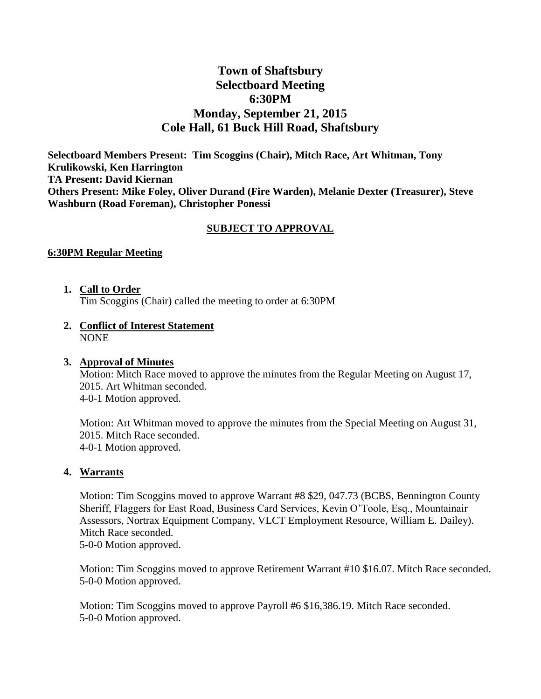# **Town of Shaftsbury Selectboard Meeting 6:30PM Monday, September 21, 2015 Cole Hall, 61 Buck Hill Road, Shaftsbury**

**Selectboard Members Present: Tim Scoggins (Chair), Mitch Race, Art Whitman, Tony Krulikowski, Ken Harrington TA Present: David Kiernan Others Present: Mike Foley, Oliver Durand (Fire Warden), Melanie Dexter (Treasurer), Steve Washburn (Road Foreman), Christopher Ponessi**

## **SUBJECT TO APPROVAL**

#### **6:30PM Regular Meeting**

- **1. Call to Order** Tim Scoggins (Chair) called the meeting to order at 6:30PM
- **2. Conflict of Interest Statement** NONE

# **3. Approval of Minutes**

Motion: Mitch Race moved to approve the minutes from the Regular Meeting on August 17, 2015. Art Whitman seconded. 4-0-1 Motion approved.

Motion: Art Whitman moved to approve the minutes from the Special Meeting on August 31, 2015. Mitch Race seconded. 4-0-1 Motion approved.

#### **4. Warrants**

Motion: Tim Scoggins moved to approve Warrant #8 \$29, 047.73 (BCBS, Bennington County Sheriff, Flaggers for East Road, Business Card Services, Kevin O'Toole, Esq., Mountainair Assessors, Nortrax Equipment Company, VLCT Employment Resource, William E. Dailey). Mitch Race seconded. 5-0-0 Motion approved.

Motion: Tim Scoggins moved to approve Retirement Warrant #10 \$16.07. Mitch Race seconded. 5-0-0 Motion approved.

Motion: Tim Scoggins moved to approve Payroll #6 \$16,386.19. Mitch Race seconded. 5-0-0 Motion approved.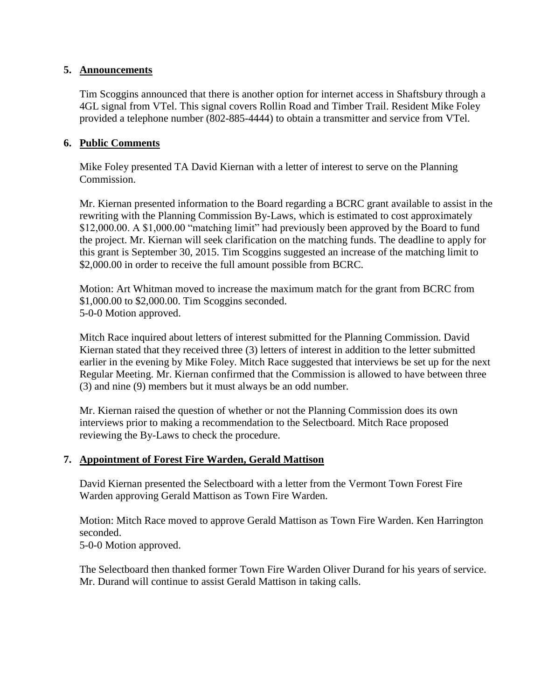## **5. Announcements**

Tim Scoggins announced that there is another option for internet access in Shaftsbury through a 4GL signal from VTel. This signal covers Rollin Road and Timber Trail. Resident Mike Foley provided a telephone number (802-885-4444) to obtain a transmitter and service from VTel.

## **6. Public Comments**

Mike Foley presented TA David Kiernan with a letter of interest to serve on the Planning Commission.

Mr. Kiernan presented information to the Board regarding a BCRC grant available to assist in the rewriting with the Planning Commission By-Laws, which is estimated to cost approximately \$12,000.00. A \$1,000.00 "matching limit" had previously been approved by the Board to fund the project. Mr. Kiernan will seek clarification on the matching funds. The deadline to apply for this grant is September 30, 2015. Tim Scoggins suggested an increase of the matching limit to \$2,000.00 in order to receive the full amount possible from BCRC.

Motion: Art Whitman moved to increase the maximum match for the grant from BCRC from \$1,000.00 to \$2,000.00. Tim Scoggins seconded. 5-0-0 Motion approved.

Mitch Race inquired about letters of interest submitted for the Planning Commission. David Kiernan stated that they received three (3) letters of interest in addition to the letter submitted earlier in the evening by Mike Foley. Mitch Race suggested that interviews be set up for the next Regular Meeting. Mr. Kiernan confirmed that the Commission is allowed to have between three (3) and nine (9) members but it must always be an odd number.

Mr. Kiernan raised the question of whether or not the Planning Commission does its own interviews prior to making a recommendation to the Selectboard. Mitch Race proposed reviewing the By-Laws to check the procedure.

#### **7. Appointment of Forest Fire Warden, Gerald Mattison**

David Kiernan presented the Selectboard with a letter from the Vermont Town Forest Fire Warden approving Gerald Mattison as Town Fire Warden.

Motion: Mitch Race moved to approve Gerald Mattison as Town Fire Warden. Ken Harrington seconded.

5-0-0 Motion approved.

The Selectboard then thanked former Town Fire Warden Oliver Durand for his years of service. Mr. Durand will continue to assist Gerald Mattison in taking calls.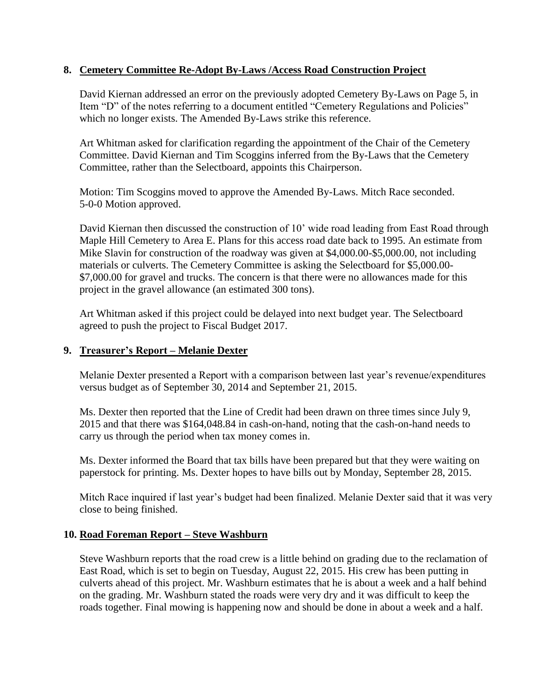## **8. Cemetery Committee Re-Adopt By-Laws /Access Road Construction Project**

David Kiernan addressed an error on the previously adopted Cemetery By-Laws on Page 5, in Item "D" of the notes referring to a document entitled "Cemetery Regulations and Policies" which no longer exists. The Amended By-Laws strike this reference.

Art Whitman asked for clarification regarding the appointment of the Chair of the Cemetery Committee. David Kiernan and Tim Scoggins inferred from the By-Laws that the Cemetery Committee, rather than the Selectboard, appoints this Chairperson.

Motion: Tim Scoggins moved to approve the Amended By-Laws. Mitch Race seconded. 5-0-0 Motion approved.

David Kiernan then discussed the construction of 10' wide road leading from East Road through Maple Hill Cemetery to Area E. Plans for this access road date back to 1995. An estimate from Mike Slavin for construction of the roadway was given at \$4,000.00-\$5,000.00, not including materials or culverts. The Cemetery Committee is asking the Selectboard for \$5,000.00- \$7,000.00 for gravel and trucks. The concern is that there were no allowances made for this project in the gravel allowance (an estimated 300 tons).

Art Whitman asked if this project could be delayed into next budget year. The Selectboard agreed to push the project to Fiscal Budget 2017.

#### **9. Treasurer's Report – Melanie Dexter**

Melanie Dexter presented a Report with a comparison between last year's revenue/expenditures versus budget as of September 30, 2014 and September 21, 2015.

Ms. Dexter then reported that the Line of Credit had been drawn on three times since July 9, 2015 and that there was \$164,048.84 in cash-on-hand, noting that the cash-on-hand needs to carry us through the period when tax money comes in.

Ms. Dexter informed the Board that tax bills have been prepared but that they were waiting on paperstock for printing. Ms. Dexter hopes to have bills out by Monday, September 28, 2015.

Mitch Race inquired if last year's budget had been finalized. Melanie Dexter said that it was very close to being finished.

## **10. Road Foreman Report – Steve Washburn**

Steve Washburn reports that the road crew is a little behind on grading due to the reclamation of East Road, which is set to begin on Tuesday, August 22, 2015. His crew has been putting in culverts ahead of this project. Mr. Washburn estimates that he is about a week and a half behind on the grading. Mr. Washburn stated the roads were very dry and it was difficult to keep the roads together. Final mowing is happening now and should be done in about a week and a half.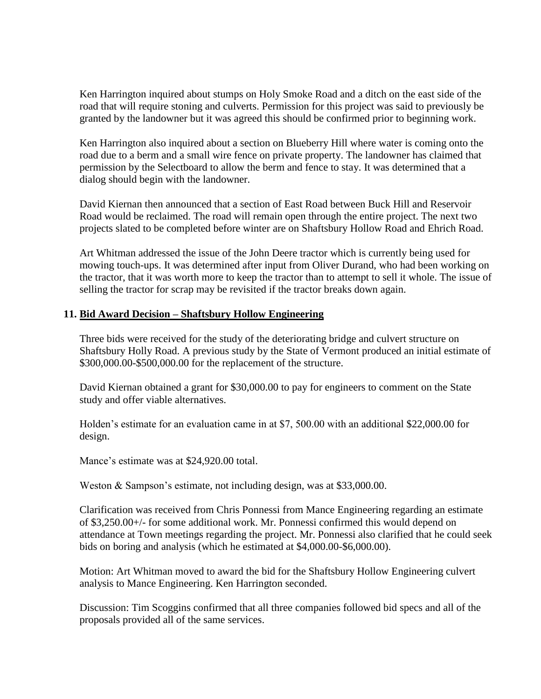Ken Harrington inquired about stumps on Holy Smoke Road and a ditch on the east side of the road that will require stoning and culverts. Permission for this project was said to previously be granted by the landowner but it was agreed this should be confirmed prior to beginning work.

Ken Harrington also inquired about a section on Blueberry Hill where water is coming onto the road due to a berm and a small wire fence on private property. The landowner has claimed that permission by the Selectboard to allow the berm and fence to stay. It was determined that a dialog should begin with the landowner.

David Kiernan then announced that a section of East Road between Buck Hill and Reservoir Road would be reclaimed. The road will remain open through the entire project. The next two projects slated to be completed before winter are on Shaftsbury Hollow Road and Ehrich Road.

Art Whitman addressed the issue of the John Deere tractor which is currently being used for mowing touch-ups. It was determined after input from Oliver Durand, who had been working on the tractor, that it was worth more to keep the tractor than to attempt to sell it whole. The issue of selling the tractor for scrap may be revisited if the tractor breaks down again.

#### **11. Bid Award Decision – Shaftsbury Hollow Engineering**

Three bids were received for the study of the deteriorating bridge and culvert structure on Shaftsbury Holly Road. A previous study by the State of Vermont produced an initial estimate of \$300,000.00-\$500,000.00 for the replacement of the structure.

David Kiernan obtained a grant for \$30,000.00 to pay for engineers to comment on the State study and offer viable alternatives.

Holden's estimate for an evaluation came in at \$7, 500.00 with an additional \$22,000.00 for design.

Mance's estimate was at \$24,920.00 total.

Weston & Sampson's estimate, not including design, was at \$33,000.00.

Clarification was received from Chris Ponnessi from Mance Engineering regarding an estimate of \$3,250.00+/- for some additional work. Mr. Ponnessi confirmed this would depend on attendance at Town meetings regarding the project. Mr. Ponnessi also clarified that he could seek bids on boring and analysis (which he estimated at \$4,000.00-\$6,000.00).

Motion: Art Whitman moved to award the bid for the Shaftsbury Hollow Engineering culvert analysis to Mance Engineering. Ken Harrington seconded.

Discussion: Tim Scoggins confirmed that all three companies followed bid specs and all of the proposals provided all of the same services.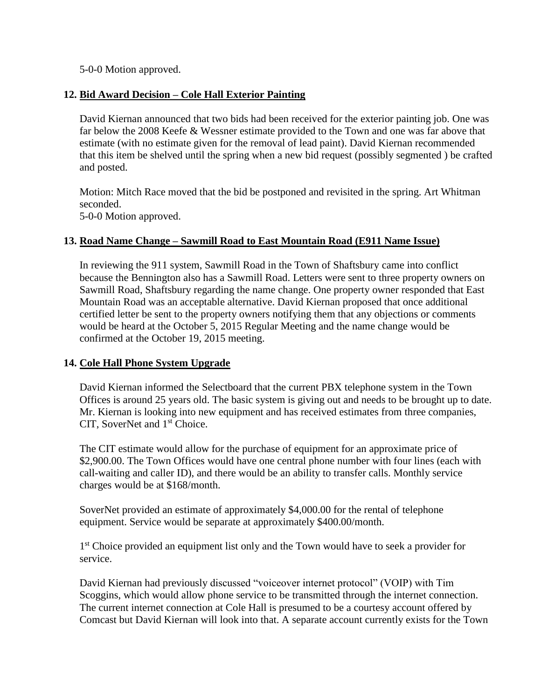5-0-0 Motion approved.

## **12. Bid Award Decision – Cole Hall Exterior Painting**

David Kiernan announced that two bids had been received for the exterior painting job. One was far below the 2008 Keefe & Wessner estimate provided to the Town and one was far above that estimate (with no estimate given for the removal of lead paint). David Kiernan recommended that this item be shelved until the spring when a new bid request (possibly segmented ) be crafted and posted.

Motion: Mitch Race moved that the bid be postponed and revisited in the spring. Art Whitman seconded. 5-0-0 Motion approved.

## **13. Road Name Change – Sawmill Road to East Mountain Road (E911 Name Issue)**

In reviewing the 911 system, Sawmill Road in the Town of Shaftsbury came into conflict because the Bennington also has a Sawmill Road. Letters were sent to three property owners on Sawmill Road, Shaftsbury regarding the name change. One property owner responded that East Mountain Road was an acceptable alternative. David Kiernan proposed that once additional certified letter be sent to the property owners notifying them that any objections or comments would be heard at the October 5, 2015 Regular Meeting and the name change would be confirmed at the October 19, 2015 meeting.

## **14. Cole Hall Phone System Upgrade**

David Kiernan informed the Selectboard that the current PBX telephone system in the Town Offices is around 25 years old. The basic system is giving out and needs to be brought up to date. Mr. Kiernan is looking into new equipment and has received estimates from three companies, CIT, SoverNet and 1<sup>st</sup> Choice.

The CIT estimate would allow for the purchase of equipment for an approximate price of \$2,900.00. The Town Offices would have one central phone number with four lines (each with call-waiting and caller ID), and there would be an ability to transfer calls. Monthly service charges would be at \$168/month.

SoverNet provided an estimate of approximately \$4,000.00 for the rental of telephone equipment. Service would be separate at approximately \$400.00/month.

1<sup>st</sup> Choice provided an equipment list only and the Town would have to seek a provider for service.

David Kiernan had previously discussed "voiceover internet protocol" (VOIP) with Tim Scoggins, which would allow phone service to be transmitted through the internet connection. The current internet connection at Cole Hall is presumed to be a courtesy account offered by Comcast but David Kiernan will look into that. A separate account currently exists for the Town